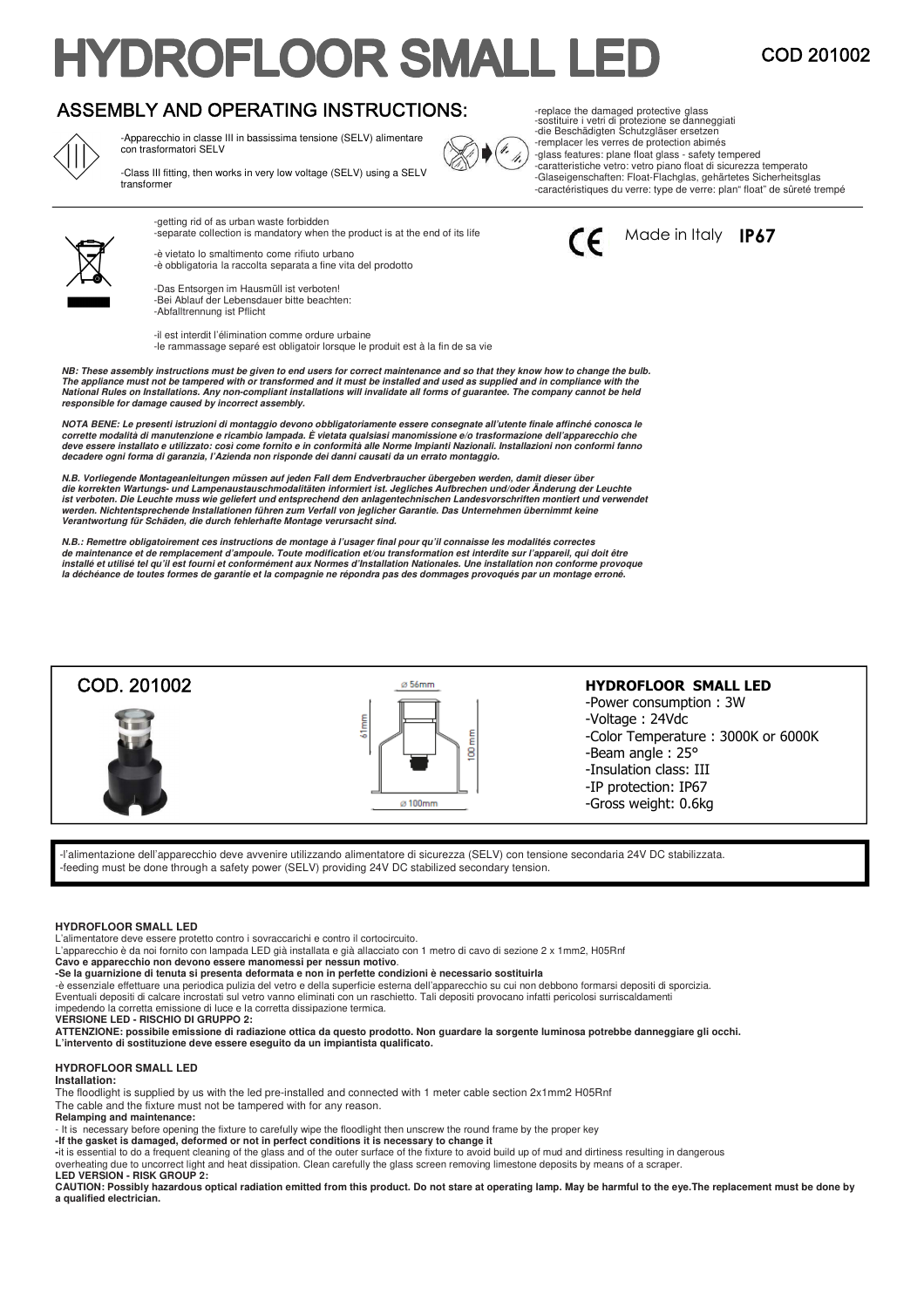# **HYDROFLOOR SMALL LEI**

COD 201002

## ASSEMBLY AND OPERATING INSTRUCTIONS:



-Apparecchio in classe III in bassissima tensione (SELV) alimentare con trasformatori SELV

-Class III fitting, then works in very low voltage (SELV) using a SELV transformer



-separate collection is mandatory when the product is at the end of its life -è vietato lo smaltimento come rifiuto urbano

-è obbligatoria la raccolta separata a fine vita del prodotto

-Das Entsorgen im Hausmüll ist verboten! -Bei Ablauf der Lebensdauer bitte beachten: -Abfalltrennung ist Pflicht

-getting rid of as urban waste forbidden

-il est interdit l'élimination comme ordure urbaine -le rammassage separé est obligatoir lorsque le produit est à la fin de sa vie

**NB: These assembly instructions must be given to end users for correct maintenance and so that they know how to change the bulb.**  The appliance must not be tampered with or transformed and it must be installed and used as supplied and in compliance with the<br>National Rules on Installations. Any non-compliant installations will invalidate all forms of **responsible for damage caused by incorrect assembly.** 

**NOTA BENE: Le presenti istruzioni di montaggio devono obbligatoriamente essere consegnate all'utente finale affinché conosca le**  corrette modalità di manutenzione e ricambio lampada. E vietata qualsiasi manomissione e/o trasformazione dell'apparecchio che<br>deve essere installato e utilizzato: così come fornito e in conformità alle Norme Impianti Nazi **decadere ogni forma di garanzia, l'Azienda non risponde dei danni causati da un errato montaggio.** 

N.B. Vorliegende Montageanleitungen müssen auf jeden Fall dem Endverbraucher übergeben werden, damit dieser über<br>die korrekten Wartungs- und Lampenaustauschmodalitäten informiert ist. Jegliches Aufbrechen und/oder Änderung ist verboten. Die Leuchte muss wie geliefert und entsprechend den anlagentechnischen Landesvorschriften montiert und verwendet<br>werden. Nichtentsprechende Installationen führen zum Verfall von jeglicher Garantie. Das Untern

N.B.: Remettre obligatoirement ces instructions de montage à l'usager final pour qu'il connaisse les modalités correctes<br>de maintenance et de remplacement d'ampoule. Toute modification et/ou transformation est interdite su **la déchéance de toutes formes de garantie et la compagnie ne répondra pas des dommages provoqués par un montage erroné.**





### **HYDROFLOOR SMALL LED**

-Power consumption : 3W -Voltage : 24Vdc -Color Temperature : 3000K or 6000K -Beam angle : 25° -Insulation class: III -IP protection: IP67 -Gross weight: 0.6kg

-l'alimentazione dell'apparecchio deve avvenire utilizzando alimentatore di sicurezza (SELV) con tensione secondaria 24V DC stabilizzata. feeding must be done through a safety power (SELV) providing 24V DC stabilized secondary tension.

#### **HYDROFLOOR SMALL LED**

COD. 201002

L'alimentatore deve essere protetto contro i sovraccarichi e contro il cortocircuito.

L'apparecchio è da noi fornito con lampada LED già installata e già allacciato con 1 metro di cavo di sezione 2 x 1mm2, H05Rnf

**Cavo e apparecchio non devono essere manomessi per nessun motivo**. **-Se la guarnizione di tenuta si presenta deformata e non in perfette condizioni è necessario sostituirla** 

-è essenziale effettuare una periodica pulizia del vetro e della superficie esterna dell'apparecchio su cui non debbono formarsi depositi di sporcizia.

Eventuali depositi di calcare incrostati sul vetro vanno eliminati con un raschietto. Tali depositi provocano infatti pericolosi surriscaldamenti

impedendo la corretta emissione di luce e la corretta dissipazione termica.

**VERSIONE LED - RISCHIO DI GRUPPO 2:** 

**ATTENZIONE: possibile emissione di radiazione ottica da questo prodotto. Non guardare la sorgente luminosa potrebbe danneggiare gli occhi. L'intervento di sostituzione deve essere eseguito da un impiantista qualificato.**

#### **HYDROFLOOR SMALL LED**

#### **Installation:**

The floodlight is supplied by us with the led pre-installed and connected with 1 meter cable section 2x1mm2 H05Rnf

The cable and the fixture must not be tampered with for any reason.

**Relamping and maintenance:** 

- It is necessary before opening the fixture to carefully wipe the floodlight then unscrew the round frame by the proper key

**-If the gasket is damaged, deformed or not in perfect conditions it is necessary to change it**<br>-it is essential to do a frequent cleaning of the glass and of the outer surface of the fixture to avoid build up of mud and d

overheating due to uncorrect light and heat dissipation. Clean carefully the glass screen removing limestone deposits by means of a scraper. **LED VERSION - RISK GROUP 2:** 

**CAUTION: Possibly hazardous optical radiation emitted from this product. Do not stare at operating lamp. May be harmful to the eye.The replacement must be done by a qualified electrician.**



V, /i, -replace the damaged protective glass -sostituire i vetri di protezione se danneggiati -die Beschädigten Schutzgläser ersetzen -remplacer les verres de protection abimés

Made in Italy **IP67** 

-glass features: plane float glass - safety tempered -caratteristiche vetro: vetro piano float di sicurezza temperato -Glaseigenschaften: Float-Flachglas, gehärtetes Sicherheitsglas